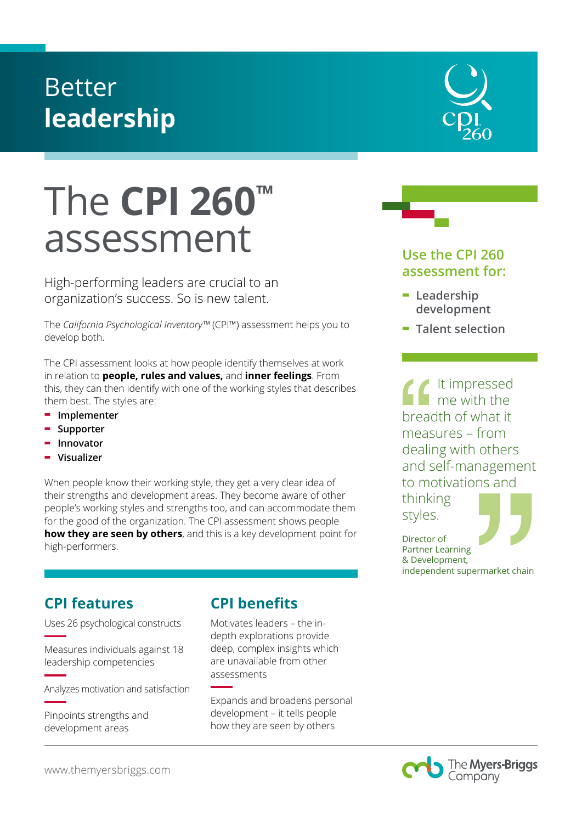## Better **leadership**

# The **CPI 260™** assessment

High-performing leaders are crucial to an organization's success. So is new talent.

The *California Psychological Inventory™* (CPI™) assessment helps you to develop both.

The CPI assessment looks at how people identify themselves at work in relation to **people, rules and values,** and **inner feelings**. From this, they can then identify with one of the working styles that describes them best. The styles are:

- **- Implementer**
- **- Supporter**
- **- Innovator**
- **- Visualizer**

When people know their working style, they get a very clear idea of their strengths and development areas. They become aware of other people's working styles and strengths too, and can accommodate them for the good of the organization. The CPI assessment shows people **how they are seen by others**, and this is a key development point for high-performers.

### **CPI features**

Uses 26 psychological constructs

Measures individuals against 18 leadership competencies

Analyzes motivation and satisfaction

Pinpoints strengths and development areas

### **CPI benefits**

Motivates leaders – the indepth explorations provide deep, complex insights which are unavailable from other assessments

Expands and broadens personal development – it tells people how they are seen by others





- **assessment for:**
- **- Leadership development**
- **- Talent selection**

It impressed me with the breadth of what it measures – from dealing with others and self-management to motivations and

thinking styles.

Director of

Partner Learning & Development, independent supermarket chain